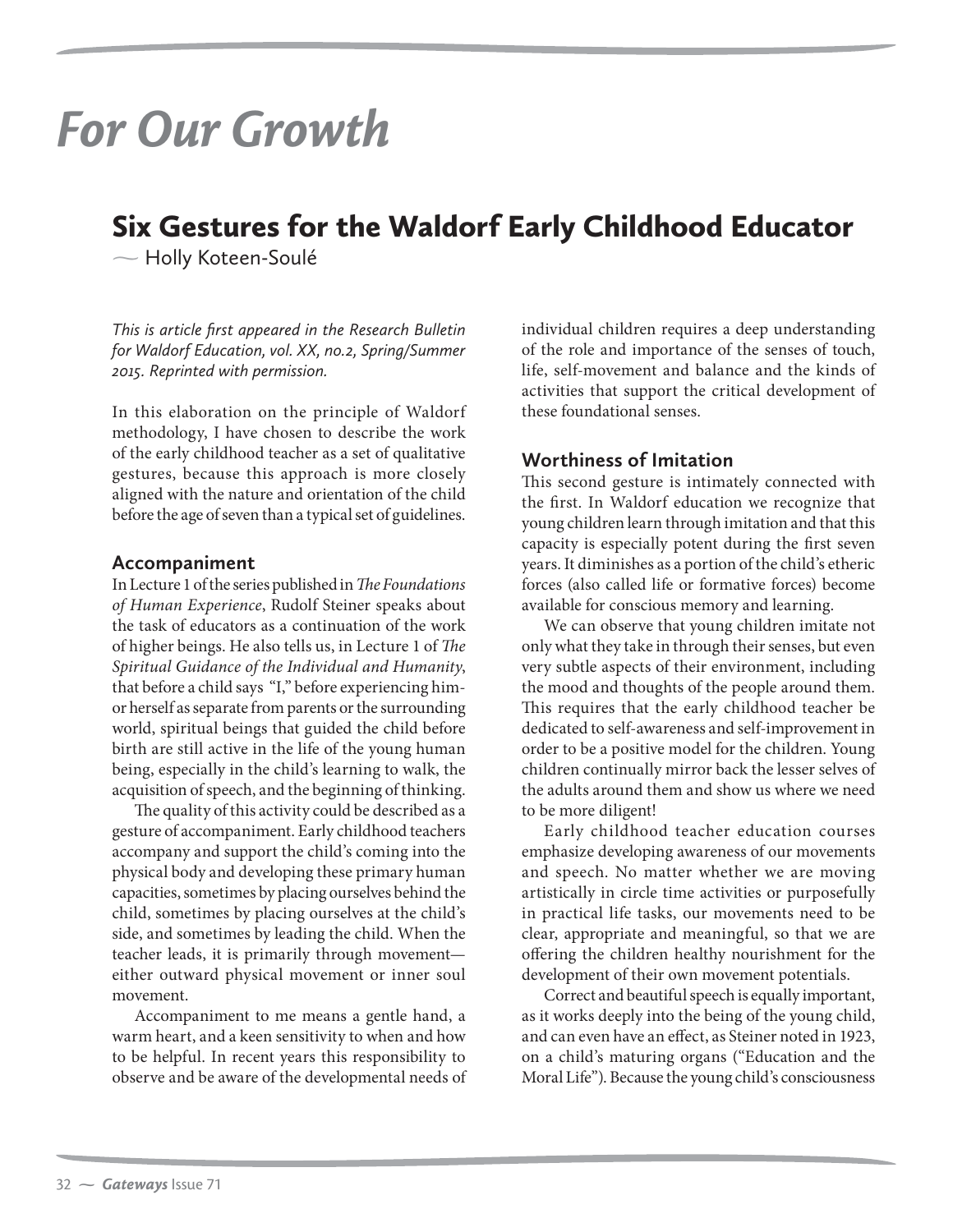# *For Our Growth*

## Six Gestures for the Waldorf Early Childhood Educator

 $\sim$  Holly Koteen-Soulé

*This is article first appeared in the Research Bulletin for Waldorf Education, vol. XX, no.2, Spring/Summer 2015. Reprinted with permission.*

In this elaboration on the principle of Waldorf methodology, I have chosen to describe the work of the early childhood teacher as a set of qualitative gestures, because this approach is more closely aligned with the nature and orientation of the child before the age of seven than a typical set of guidelines.

#### **Accompaniment**

In Lecture 1 of the series published in *The Foundations of Human Experience*, Rudolf Steiner speaks about the task of educators as a continuation of the work of higher beings. He also tells us, in Lecture 1 of *The Spiritual Guidance of the Individual and Humanity*, that before a child says "I," before experiencing himor herself as separate from parents or the surrounding world, spiritual beings that guided the child before birth are still active in the life of the young human being, especially in the child's learning to walk, the acquisition of speech, and the beginning of thinking.

The quality of this activity could be described as a gesture of accompaniment. Early childhood teachers accompany and support the child's coming into the physical body and developing these primary human capacities, sometimes by placing ourselves behind the child, sometimes by placing ourselves at the child's side, and sometimes by leading the child. When the teacher leads, it is primarily through movement either outward physical movement or inner soul movement.

Accompaniment to me means a gentle hand, a warm heart, and a keen sensitivity to when and how to be helpful. In recent years this responsibility to observe and be aware of the developmental needs of individual children requires a deep understanding of the role and importance of the senses of touch, life, self-movement and balance and the kinds of activities that support the critical development of these foundational senses.

#### **Worthiness of Imitation**

This second gesture is intimately connected with the first. In Waldorf education we recognize that young children learn through imitation and that this capacity is especially potent during the first seven years. It diminishes as a portion of the child's etheric forces (also called life or formative forces) become available for conscious memory and learning.

We can observe that young children imitate not only what they take in through their senses, but even very subtle aspects of their environment, including the mood and thoughts of the people around them. This requires that the early childhood teacher be dedicated to self-awareness and self-improvement in order to be a positive model for the children. Young children continually mirror back the lesser selves of the adults around them and show us where we need to be more diligent!

Early childhood teacher education courses emphasize developing awareness of our movements and speech. No matter whether we are moving artistically in circle time activities or purposefully in practical life tasks, our movements need to be clear, appropriate and meaningful, so that we are offering the children healthy nourishment for the development of their own movement potentials.

Correct and beautiful speech is equally important, as it works deeply into the being of the young child, and can even have an effect, as Steiner noted in 1923, on a child's maturing organs ("Education and the Moral Life"). Because the young child's consciousness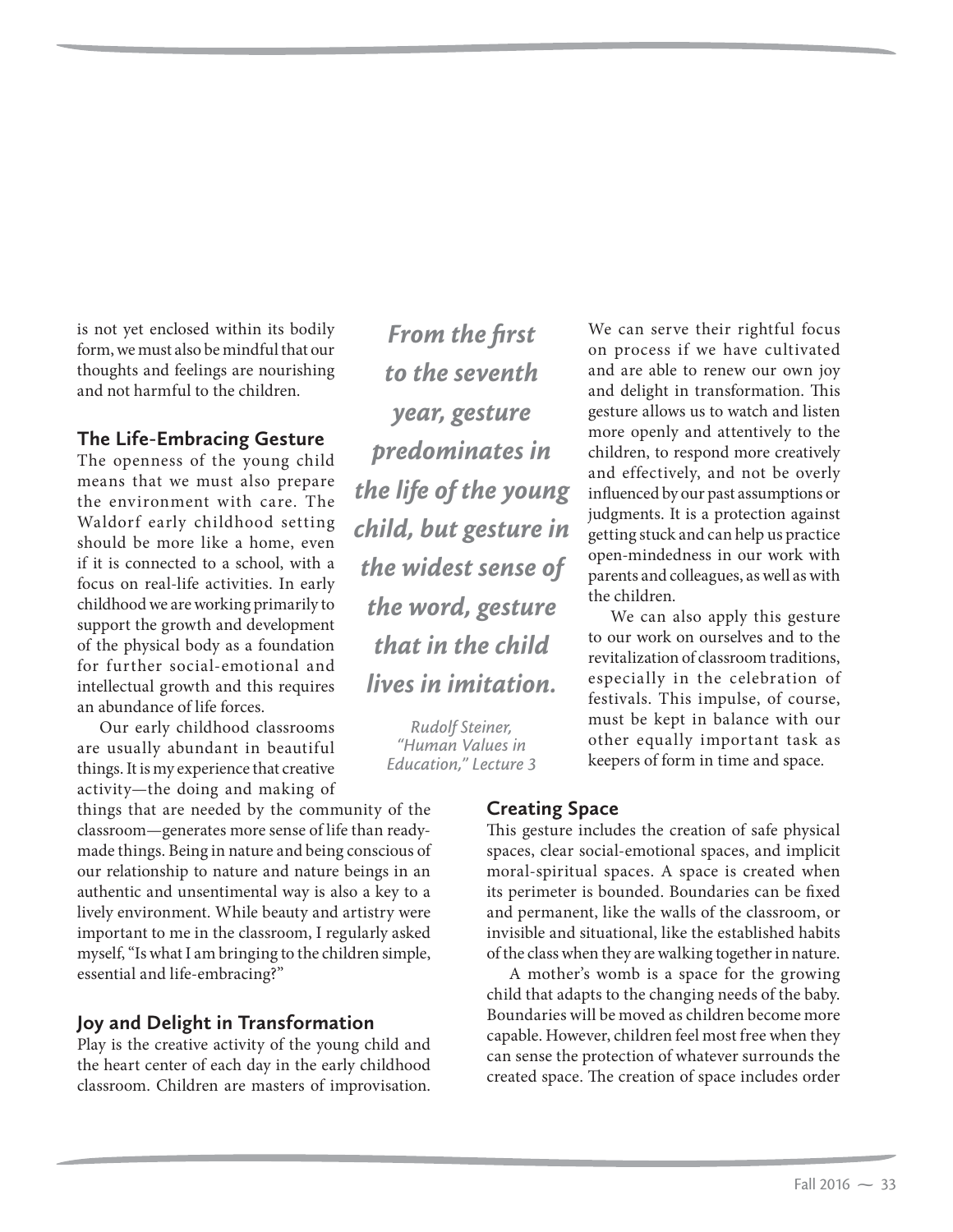is not yet enclosed within its bodily form, we must also be mindful that our thoughts and feelings are nourishing and not harmful to the children.

#### **The Life-Embracing Gesture**

The openness of the young child means that we must also prepare the environment with care. The Waldorf early childhood setting should be more like a home, even if it is connected to a school, with a focus on real-life activities. In early childhood we are working primarily to support the growth and development of the physical body as a foundation for further social-emotional and intellectual growth and this requires an abundance of life forces.

Our early childhood classrooms are usually abundant in beautiful things. It is my experience that creative activity—the doing and making of

things that are needed by the community of the classroom—generates more sense of life than readymade things. Being in nature and being conscious of our relationship to nature and nature beings in an authentic and unsentimental way is also a key to a lively environment. While beauty and artistry were important to me in the classroom, I regularly asked myself, "Is what I am bringing to the children simple, essential and life-embracing?"

#### **Joy and Delight in Transformation**

Play is the creative activity of the young child and the heart center of each day in the early childhood classroom. Children are masters of improvisation.

*From the first to the seventh year, gesture predominates in the life of the young child, but gesture in the widest sense of the word, gesture that in the child lives in imitation.* 

> *Rudolf Steiner, "Human Values in Education," Lecture 3*

We can serve their rightful focus on process if we have cultivated and are able to renew our own joy and delight in transformation. This gesture allows us to watch and listen more openly and attentively to the children, to respond more creatively and effectively, and not be overly influenced by our past assumptions or judgments. It is a protection against getting stuck and can help us practice open-mindedness in our work with parents and colleagues, as well as with the children.

We can also apply this gesture to our work on ourselves and to the revitalization of classroom traditions, especially in the celebration of festivals. This impulse, of course, must be kept in balance with our other equally important task as keepers of form in time and space.

#### **Creating Space**

This gesture includes the creation of safe physical spaces, clear social-emotional spaces, and implicit moral-spiritual spaces. A space is created when its perimeter is bounded. Boundaries can be fixed and permanent, like the walls of the classroom, or invisible and situational, like the established habits of the class when they are walking together in nature.

A mother's womb is a space for the growing child that adapts to the changing needs of the baby. Boundaries will be moved as children become more capable. However, children feel most free when they can sense the protection of whatever surrounds the created space. The creation of space includes order